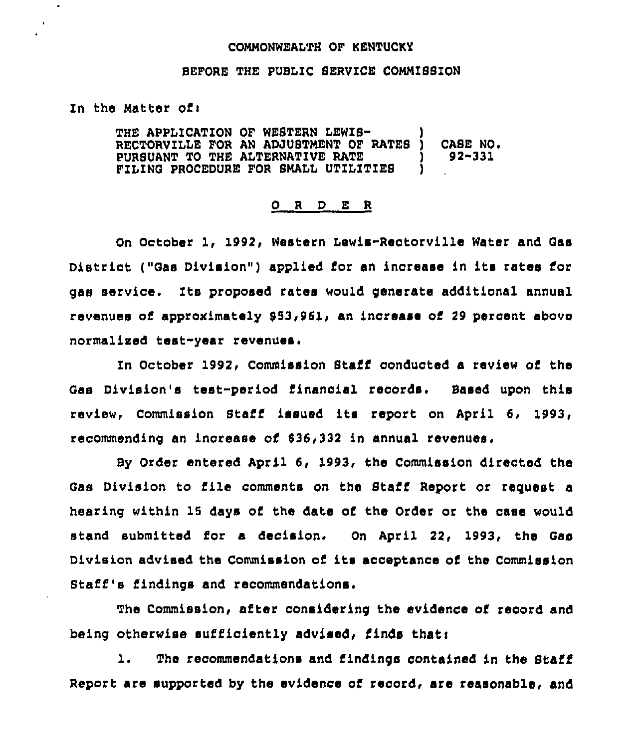#### COMMONWEALTH OF KENTUCKY

## BEFORE THE PUBLIC SERVICE COMMISSION

#### Zn the Matter ofi

THE APPLICATION OF WESTERN LEWIS-RECTORVILLE FOR AN ADJUSTMENT OF RATES )<br>PURSUANT TO THE ALTERNATIVE RATE PURSUANT TO THE ALTERNATIVE RATE (1) FILING PROCEDURE FOR SMALL UTILITIES CASE NO. 92-331

## 0 <sup>R</sup> <sup>D</sup> E <sup>R</sup>

On October 1, 1992, Western Iewis-Reotorville Water and Gas District ("Gas Division") applied for an inorease in its rates for gas service. Its proposed rates would generate additional annual revenues of approximately \$53,961, an increase of 29 percent above normalised test-year revenues.

In October 1992, Commission Staff conducted a review of the Gas Division's test-period financial records. Based upon this review, Commission Btaff issued its report on April 6, 1993, recommending an increase of \$36,332 in annual revenues.

By Order entered April 6, 1993, the Commission directed the Gas Division to file comments on the Staff Report or request a hearing within 15 days of the date of the Order or the case would stand submitted for a decision. On April 22, 1993, the Gas Division advised the Commission of its acceptance of the Commission Staff's findings and recommendations.

The Commission, after considering the evidence of record and being otherwise sufficiently advised, finds thati

1. The recommendations and findings contained in the Staff Report are supported by the evidence of record, are reasonable, and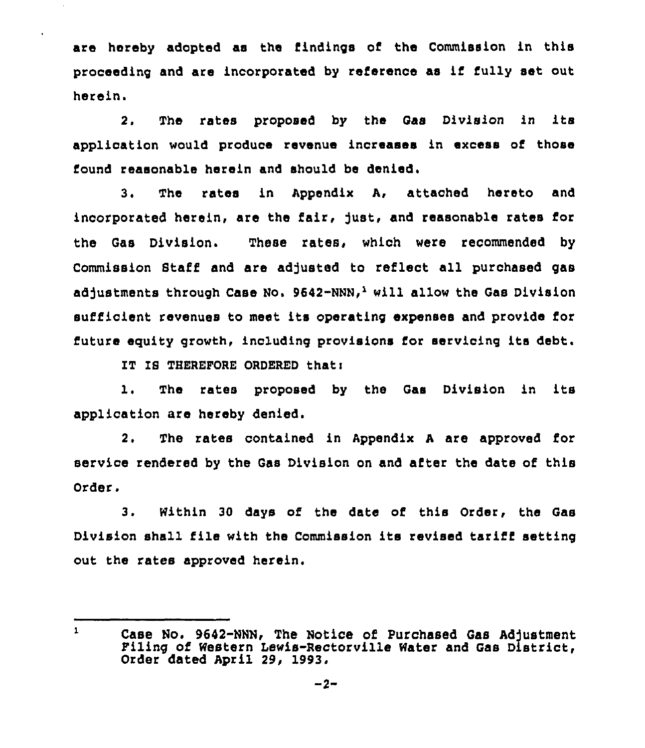are hereby adopted as the findings of the Commission in this proceeding and are incorporated by reference as if fully set out herein.

2. The rates proposed by the Gas Division in its application would produce revenue increases in excess of those found reasonable herein and should be denied.

3. The rates in Appendix A, attached hereto and incorporated herein, are the fair, fust, and reasonable rates for the Gas Division. These rates, which were recommended by Commission Staff and are adjusted to reflect all purchased gas adjustments through Case No. 9642-NNN,<sup>1</sup> will allow the Gas Division sufficient revenues to meet its operating expenses and provide for future equity growth, including provisions for servicing its debt.

IT IS THEREFORE ORDERED that:

1, The rates proposed by the Gas Division in its application are hereby denied.

2. The rates contained in Appendix <sup>A</sup> are approved for service rendered by the Gas Division on and after the date of this Order.

3. Within 30 days of the date of this Order, the Gas Division shall file with the Commission its revised tariff setting out the rates approved herein.

 $\mathbf{1}$ Case No. 9642-NNN, The Notice of Purchased Gas Adjustment Piling of Western lewis-Rectorville Water and Gas District, Order dated April 29, 1993.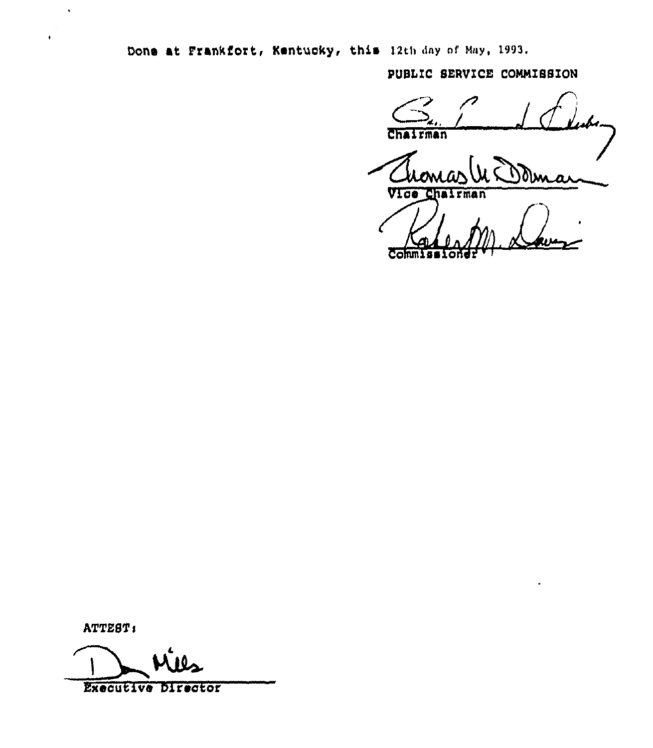Done at Frankfort, Kentucky, this 12th day of May, 1993.

PUBLIC SERVICE COMMISSION

Chairman

Mina Vice Cha rman

 $\overline{\mathrm{Com}}$ 

ATTEST:

 $\ddot{\phantom{1}}$ 

**Executive Director**